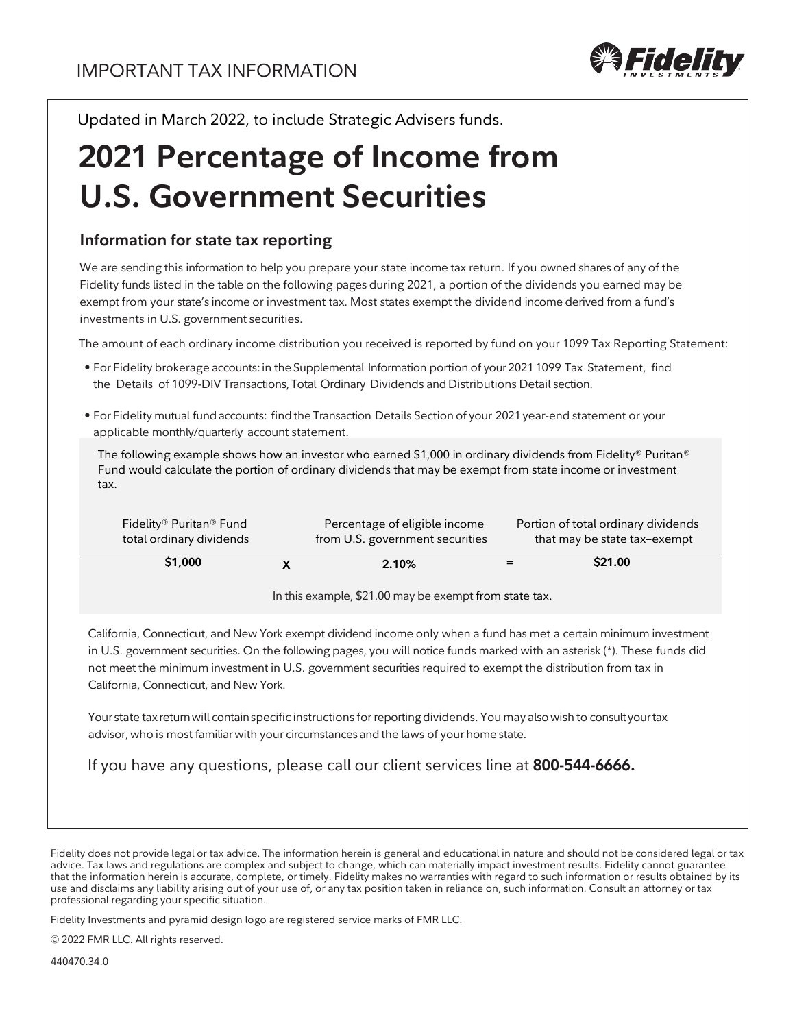

Updated in March 2022, to include Strategic Advisers funds.

# **2021 Percentage of Income from U.S. Government Securities**

### **Information for state tax reporting**

We are sending this information to help you prepare your state income tax return. If you owned shares of any of the Fidelity funds listed in the table on the following pages during 2021, a portion of the dividends you earned may be exempt from your state's income or investment tax. Most states exempt the dividend income derived from a fund's investments in U.S. government securities.

The amount of each ordinary income distribution you received is reported by fund on your 1099 Tax Reporting Statement:

- For Fidelity brokerage accounts:in the Supplemental Information portion of your 2021 1099 Tax Statement, find the Details of 1099-DIV Transactions,Total Ordinary Dividends and Distributions Detail section.
- For Fidelity mutual fundaccounts: findthe Transaction Details Section of your 2021year-end statement or your applicable monthly/quarterly account statement.

The following example shows how an investor who earned \$1,000 in ordinary dividends from Fidelity® Puritan® Fund would calculate the portion of ordinary dividends that may be exempt from state income or investment tax.

| Fidelity® Puritan® Fund  | Percentage of eligible income   | Portion of total ordinary dividends |         |
|--------------------------|---------------------------------|-------------------------------------|---------|
| total ordinary dividends | from U.S. government securities | that may be state tax-exempt        |         |
| \$1,000                  | 2.10%                           |                                     | \$21.00 |

In this example, \$21.00 may be exempt from state tax.

California, Connecticut, and New York exempt dividend income only when a fund has met a certain minimum investment in U.S. government securities. On the following pages, you will notice funds marked with an asterisk (\*). These funds did not meet the minimum investment in U.S. government securities required to exempt the distribution from tax in California, Connecticut, and New York.

Your state tax return will contain specific instructions for reporting dividends. You may also wish to consultyour tax advisor, who is most familiar with your circumstances and the laws of your home state.

If you have any questions, please call our client services line at **800-544-6666.**

Fidelity Investments and pyramid design logo are registered service marks of FMR LLC.

© 2022 FMR LLC. All rights reserved.

440470.34.0

Fidelity does not provide legal or tax advice. The information herein is general and educational in nature and should not be considered legal or tax advice. Tax laws and regulations are complex and subject to change, which can materially impact investment results. Fidelity cannot guarantee that the information herein is accurate, complete, or timely. Fidelity makes no warranties with regard to such information or results obtained by its use and disclaims any liability arising out of your use of, or any tax position taken in reliance on, such information. Consult an attorney or tax professional regarding your specific situation.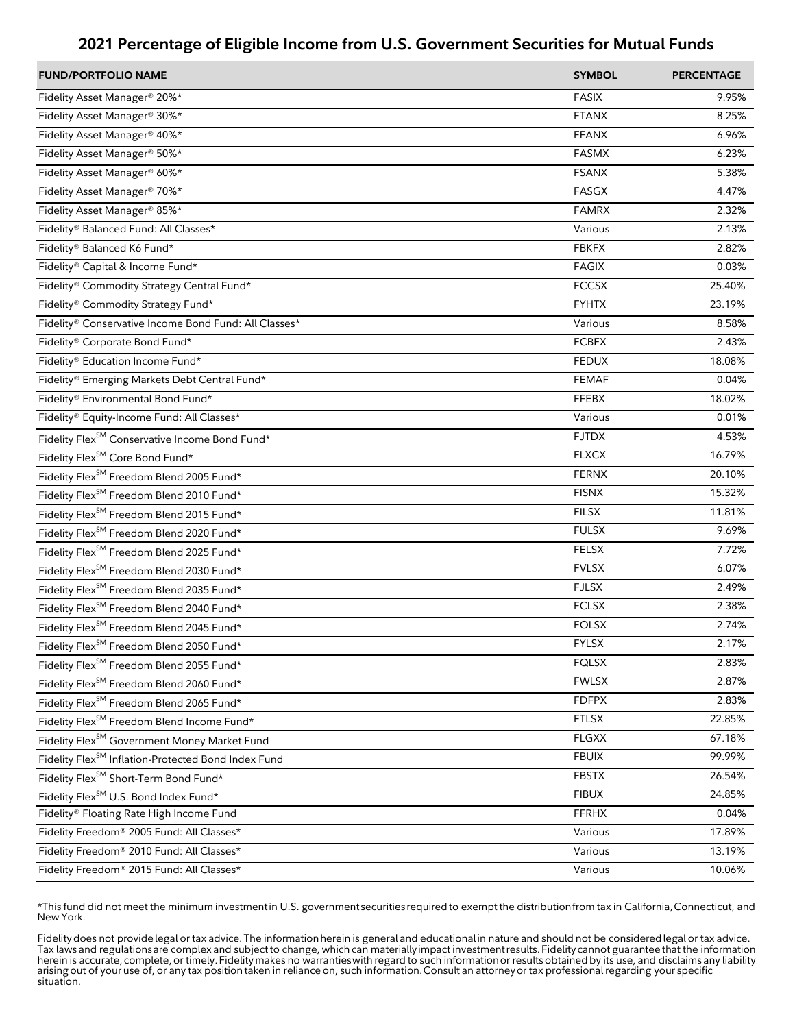| <b>FUND/PORTFOLIO NAME</b>                                      | <b>SYMBOL</b> | <b>PERCENTAGE</b> |
|-----------------------------------------------------------------|---------------|-------------------|
| Fidelity Asset Manager® 20%*                                    | <b>FASIX</b>  | 9.95%             |
| Fidelity Asset Manager® 30%*                                    | <b>FTANX</b>  | 8.25%             |
| Fidelity Asset Manager <sup>®</sup> 40%*                        | <b>FFANX</b>  | 6.96%             |
| Fidelity Asset Manager <sup>®</sup> 50%*                        | <b>FASMX</b>  | 6.23%             |
| Fidelity Asset Manager® 60%*                                    | <b>FSANX</b>  | 5.38%             |
| Fidelity Asset Manager® 70%*                                    | <b>FASGX</b>  | 4.47%             |
| Fidelity Asset Manager® 85%*                                    | <b>FAMRX</b>  | 2.32%             |
| Fidelity® Balanced Fund: All Classes*                           | Various       | 2.13%             |
| Fidelity® Balanced K6 Fund*                                     | <b>FBKFX</b>  | 2.82%             |
| Fidelity® Capital & Income Fund*                                | <b>FAGIX</b>  | 0.03%             |
| Fidelity® Commodity Strategy Central Fund*                      | <b>FCCSX</b>  | 25.40%            |
| Fidelity® Commodity Strategy Fund*                              | <b>FYHTX</b>  | 23.19%            |
| Fidelity® Conservative Income Bond Fund: All Classes*           | Various       | 8.58%             |
| Fidelity® Corporate Bond Fund*                                  | <b>FCBFX</b>  | 2.43%             |
| Fidelity® Education Income Fund*                                | <b>FEDUX</b>  | 18.08%            |
| Fidelity® Emerging Markets Debt Central Fund*                   | <b>FEMAF</b>  | 0.04%             |
| Fidelity® Environmental Bond Fund*                              | <b>FFEBX</b>  | 18.02%            |
| Fidelity® Equity-Income Fund: All Classes*                      | Various       | 0.01%             |
| Fidelity Flex <sup>SM</sup> Conservative Income Bond Fund*      | <b>FJTDX</b>  | 4.53%             |
| Fidelity Flex <sup>SM</sup> Core Bond Fund*                     | <b>FLXCX</b>  | 16.79%            |
| Fidelity Flex <sup>SM</sup> Freedom Blend 2005 Fund*            | <b>FERNX</b>  | 20.10%            |
| Fidelity Flex <sup>SM</sup> Freedom Blend 2010 Fund*            | <b>FISNX</b>  | 15.32%            |
| Fidelity Flex <sup>SM</sup> Freedom Blend 2015 Fund*            | <b>FILSX</b>  | 11.81%            |
| Fidelity Flex <sup>SM</sup> Freedom Blend 2020 Fund*            | <b>FULSX</b>  | 9.69%             |
| Fidelity Flex <sup>SM</sup> Freedom Blend 2025 Fund*            | <b>FELSX</b>  | 7.72%             |
| Fidelity Flex <sup>SM</sup> Freedom Blend 2030 Fund*            | <b>FVLSX</b>  | 6.07%             |
| Fidelity Flex <sup>SM</sup> Freedom Blend 2035 Fund*            | <b>FJLSX</b>  | 2.49%             |
| Fidelity Flex <sup>SM</sup> Freedom Blend 2040 Fund*            | <b>FCLSX</b>  | 2.38%             |
| Fidelity Flex <sup>SM</sup> Freedom Blend 2045 Fund*            | <b>FOLSX</b>  | 2.74%             |
| Fidelity Flex <sup>SM</sup> Freedom Blend 2050 Fund*            | <b>FYLSX</b>  | 2.17%             |
| Fidelity Flex <sup>SM</sup> Freedom Blend 2055 Fund*            | <b>FQLSX</b>  | 2.83%             |
| Fidelity Flex <sup>SM</sup> Freedom Blend 2060 Fund*            | <b>FWLSX</b>  | 2.87%             |
| Fidelity Flex <sup>SM</sup> Freedom Blend 2065 Fund*            | <b>FDFPX</b>  | 2.83%             |
| Fidelity Flex <sup>SM</sup> Freedom Blend Income Fund*          | <b>FTLSX</b>  | 22.85%            |
| Fidelity Flex <sup>SM</sup> Government Money Market Fund        | <b>FLGXX</b>  | 67.18%            |
| Fidelity Flex <sup>SM</sup> Inflation-Protected Bond Index Fund | <b>FBUIX</b>  | 99.99%            |
| Fidelity Flex <sup>SM</sup> Short-Term Bond Fund*               | <b>FBSTX</b>  | 26.54%            |
| Fidelity Flex <sup>SM</sup> U.S. Bond Index Fund*               | <b>FIBUX</b>  | 24.85%            |
| Fidelity® Floating Rate High Income Fund                        | <b>FFRHX</b>  | 0.04%             |
| Fidelity Freedom® 2005 Fund: All Classes*                       | Various       | 17.89%            |
| Fidelity Freedom® 2010 Fund: All Classes*                       | Various       | 13.19%            |
| Fidelity Freedom® 2015 Fund: All Classes*                       | Various       | 10.06%            |

\*This fund did not meet the minimum investment in U.S. government securities required to exempt the distribution from tax in California, Connecticut, and New York.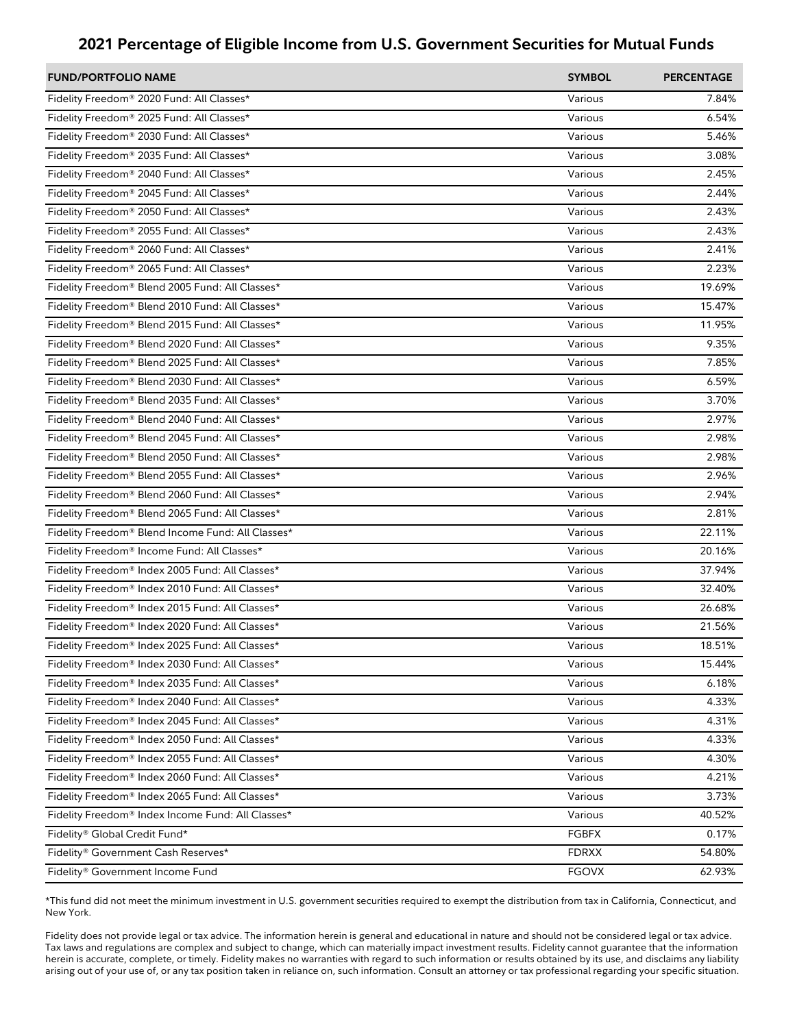| <b>FUND/PORTFOLIO NAME</b>                        | <b>SYMBOL</b> | <b>PERCENTAGE</b> |
|---------------------------------------------------|---------------|-------------------|
| Fidelity Freedom® 2020 Fund: All Classes*         | Various       | 7.84%             |
| Fidelity Freedom® 2025 Fund: All Classes*         | Various       | 6.54%             |
| Fidelity Freedom® 2030 Fund: All Classes*         | Various       | 5.46%             |
| Fidelity Freedom® 2035 Fund: All Classes*         | Various       | 3.08%             |
| Fidelity Freedom® 2040 Fund: All Classes*         | Various       | 2.45%             |
| Fidelity Freedom® 2045 Fund: All Classes*         | Various       | 2.44%             |
| Fidelity Freedom® 2050 Fund: All Classes*         | Various       | 2.43%             |
| Fidelity Freedom® 2055 Fund: All Classes*         | Various       | 2.43%             |
| Fidelity Freedom® 2060 Fund: All Classes*         | Various       | 2.41%             |
| Fidelity Freedom® 2065 Fund: All Classes*         | Various       | 2.23%             |
| Fidelity Freedom® Blend 2005 Fund: All Classes*   | Various       | 19.69%            |
| Fidelity Freedom® Blend 2010 Fund: All Classes*   | Various       | 15.47%            |
| Fidelity Freedom® Blend 2015 Fund: All Classes*   | Various       | 11.95%            |
| Fidelity Freedom® Blend 2020 Fund: All Classes*   | Various       | 9.35%             |
| Fidelity Freedom® Blend 2025 Fund: All Classes*   | Various       | 7.85%             |
| Fidelity Freedom® Blend 2030 Fund: All Classes*   | Various       | 6.59%             |
| Fidelity Freedom® Blend 2035 Fund: All Classes*   | Various       | 3.70%             |
| Fidelity Freedom® Blend 2040 Fund: All Classes*   | Various       | 2.97%             |
| Fidelity Freedom® Blend 2045 Fund: All Classes*   | Various       | 2.98%             |
| Fidelity Freedom® Blend 2050 Fund: All Classes*   | Various       | 2.98%             |
| Fidelity Freedom® Blend 2055 Fund: All Classes*   | Various       | 2.96%             |
| Fidelity Freedom® Blend 2060 Fund: All Classes*   | Various       | 2.94%             |
| Fidelity Freedom® Blend 2065 Fund: All Classes*   | Various       | 2.81%             |
| Fidelity Freedom® Blend Income Fund: All Classes* | Various       | 22.11%            |
| Fidelity Freedom® Income Fund: All Classes*       | Various       | 20.16%            |
| Fidelity Freedom® Index 2005 Fund: All Classes*   | Various       | 37.94%            |
| Fidelity Freedom® Index 2010 Fund: All Classes*   | Various       | 32.40%            |
| Fidelity Freedom® Index 2015 Fund: All Classes*   | Various       | 26.68%            |
| Fidelity Freedom® Index 2020 Fund: All Classes*   | Various       | 21.56%            |
| Fidelity Freedom® Index 2025 Fund: All Classes*   | Various       | 18.51%            |
| Fidelity Freedom® Index 2030 Fund: All Classes*   | Various       | 15.44%            |
| Fidelity Freedom® Index 2035 Fund: All Classes*   | Various       | 6.18%             |
| Fidelity Freedom® Index 2040 Fund: All Classes*   | Various       | 4.33%             |
| Fidelity Freedom® Index 2045 Fund: All Classes*   | Various       | 4.31%             |
| Fidelity Freedom® Index 2050 Fund: All Classes*   | Various       | 4.33%             |
| Fidelity Freedom® Index 2055 Fund: All Classes*   | Various       | 4.30%             |
| Fidelity Freedom® Index 2060 Fund: All Classes*   | Various       | 4.21%             |
| Fidelity Freedom® Index 2065 Fund: All Classes*   | Various       | 3.73%             |
| Fidelity Freedom® Index Income Fund: All Classes* | Various       | 40.52%            |
| Fidelity® Global Credit Fund*                     | <b>FGBFX</b>  | 0.17%             |
| Fidelity® Government Cash Reserves*               | <b>FDRXX</b>  | 54.80%            |
| Fidelity® Government Income Fund                  | <b>FGOVX</b>  | 62.93%            |

\*This fund did not meet the minimum investment in U.S. government securities required to exempt the distribution from tax in California, Connecticut, and New York.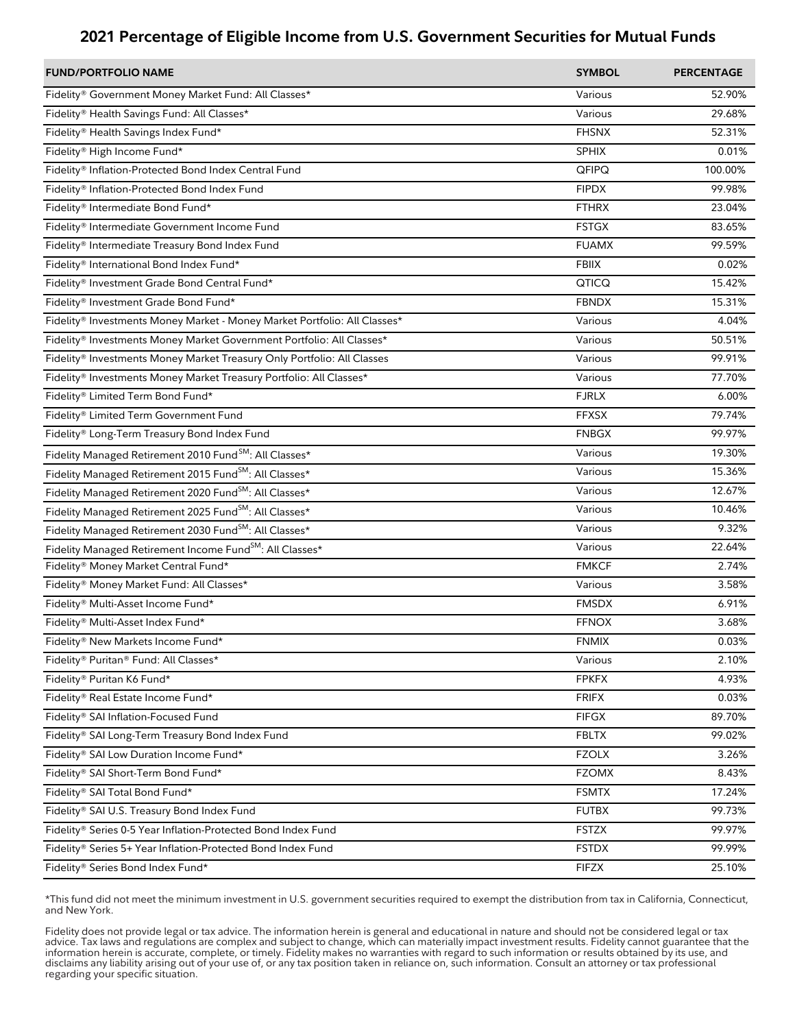| <b>FUND/PORTFOLIO NAME</b>                                                | <b>SYMBOL</b> | <b>PERCENTAGE</b> |
|---------------------------------------------------------------------------|---------------|-------------------|
| Fidelity® Government Money Market Fund: All Classes*                      | Various       | 52.90%            |
| Fidelity® Health Savings Fund: All Classes*                               | Various       | 29.68%            |
| Fidelity® Health Savings Index Fund*                                      | <b>FHSNX</b>  | 52.31%            |
| Fidelity® High Income Fund*                                               | <b>SPHIX</b>  | 0.01%             |
| Fidelity® Inflation-Protected Bond Index Central Fund                     | QFIPQ         | 100.00%           |
| Fidelity® Inflation-Protected Bond Index Fund                             | <b>FIPDX</b>  | 99.98%            |
| Fidelity® Intermediate Bond Fund*                                         | <b>FTHRX</b>  | 23.04%            |
| Fidelity® Intermediate Government Income Fund                             | <b>FSTGX</b>  | 83.65%            |
| Fidelity® Intermediate Treasury Bond Index Fund                           | <b>FUAMX</b>  | 99.59%            |
| Fidelity® International Bond Index Fund*                                  | <b>FBIIX</b>  | 0.02%             |
| Fidelity® Investment Grade Bond Central Fund*                             | QTICQ         | 15.42%            |
| Fidelity® Investment Grade Bond Fund*                                     | <b>FBNDX</b>  | 15.31%            |
| Fidelity® Investments Money Market - Money Market Portfolio: All Classes* | Various       | 4.04%             |
| Fidelity® Investments Money Market Government Portfolio: All Classes*     | Various       | 50.51%            |
| Fidelity® Investments Money Market Treasury Only Portfolio: All Classes   | Various       | 99.91%            |
| Fidelity® Investments Money Market Treasury Portfolio: All Classes*       | Various       | 77.70%            |
| Fidelity® Limited Term Bond Fund*                                         | <b>FJRLX</b>  | 6.00%             |
| Fidelity® Limited Term Government Fund                                    | <b>FFXSX</b>  | 79.74%            |
| Fidelity® Long-Term Treasury Bond Index Fund                              | <b>FNBGX</b>  | 99.97%            |
| Fidelity Managed Retirement 2010 Fund <sup>SM</sup> : All Classes*        | Various       | 19.30%            |
| Fidelity Managed Retirement 2015 Fund <sup>SM</sup> : All Classes*        | Various       | 15.36%            |
| Fidelity Managed Retirement 2020 Fund <sup>SM</sup> : All Classes*        | Various       | 12.67%            |
| Fidelity Managed Retirement 2025 Fund <sup>SM</sup> : All Classes*        | Various       | 10.46%            |
| Fidelity Managed Retirement 2030 Fund <sup>SM</sup> : All Classes*        | Various       | 9.32%             |
| Fidelity Managed Retirement Income Fund <sup>SM</sup> : All Classes*      | Various       | 22.64%            |
| Fidelity® Money Market Central Fund*                                      | <b>FMKCF</b>  | 2.74%             |
| Fidelity® Money Market Fund: All Classes*                                 | Various       | 3.58%             |
| Fidelity® Multi-Asset Income Fund*                                        | <b>FMSDX</b>  | 6.91%             |
| Fidelity® Multi-Asset Index Fund*                                         | <b>FFNOX</b>  | 3.68%             |
| Fidelity® New Markets Income Fund*                                        | <b>FNMIX</b>  | 0.03%             |
| Fidelity® Puritan® Fund: All Classes*                                     | Various       | 2.10%             |
| Fidelity® Puritan K6 Fund*                                                | <b>FPKFX</b>  | 4.93%             |
| Fidelity® Real Estate Income Fund*                                        | <b>FRIFX</b>  | 0.03%             |
| Fidelity® SAI Inflation-Focused Fund                                      | <b>FIFGX</b>  | 89.70%            |
| Fidelity® SAI Long-Term Treasury Bond Index Fund                          | <b>FBLTX</b>  | 99.02%            |
| Fidelity® SAI Low Duration Income Fund*                                   | <b>FZOLX</b>  | 3.26%             |
| Fidelity® SAI Short-Term Bond Fund*                                       | <b>FZOMX</b>  | 8.43%             |
| Fidelity® SAI Total Bond Fund*                                            | <b>FSMTX</b>  | 17.24%            |
| Fidelity® SAI U.S. Treasury Bond Index Fund                               | <b>FUTBX</b>  | 99.73%            |
| Fidelity® Series 0-5 Year Inflation-Protected Bond Index Fund             | <b>FSTZX</b>  | 99.97%            |
| Fidelity® Series 5+ Year Inflation-Protected Bond Index Fund              | <b>FSTDX</b>  | 99.99%            |
| Fidelity® Series Bond Index Fund*                                         | <b>FIFZX</b>  | 25.10%            |

\*This fund did not meet the minimum investment in U.S. government securities required to exempt the distribution from tax in California, Connecticut, and New York.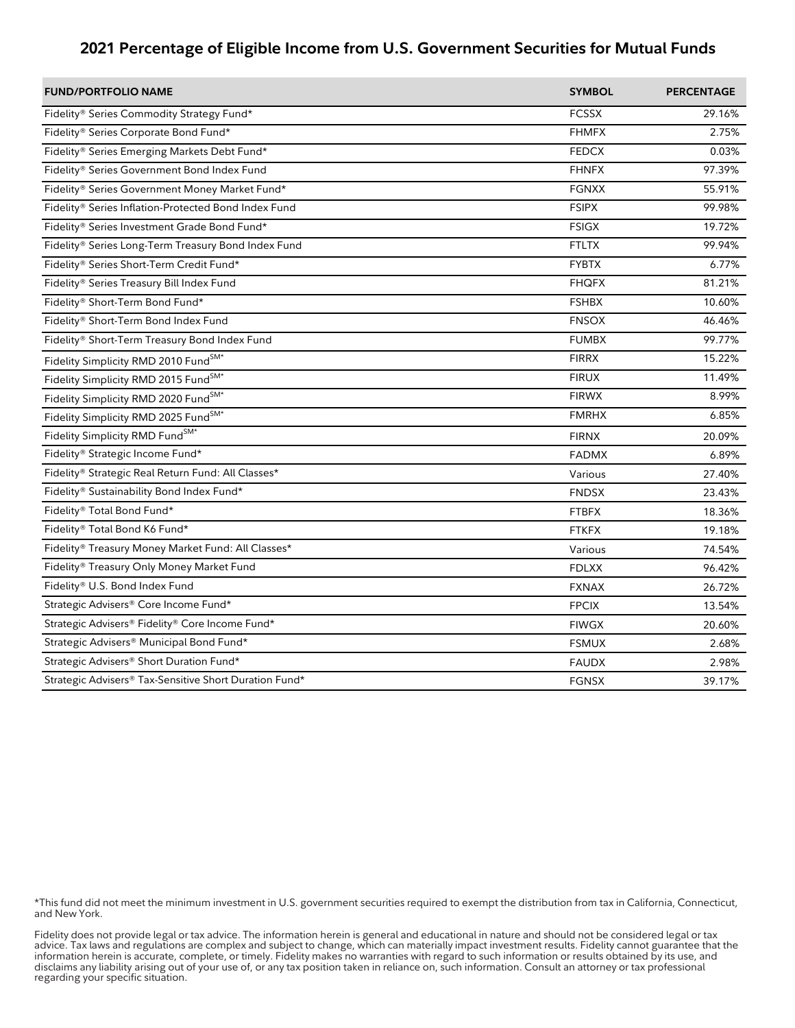| <b>FUND/PORTFOLIO NAME</b>                             | <b>SYMBOL</b> | <b>PERCENTAGE</b> |
|--------------------------------------------------------|---------------|-------------------|
| Fidelity® Series Commodity Strategy Fund*              | <b>FCSSX</b>  | 29.16%            |
| Fidelity® Series Corporate Bond Fund*                  | <b>FHMFX</b>  | 2.75%             |
| Fidelity® Series Emerging Markets Debt Fund*           | <b>FEDCX</b>  | 0.03%             |
| Fidelity® Series Government Bond Index Fund            | <b>FHNFX</b>  | 97.39%            |
| Fidelity® Series Government Money Market Fund*         | <b>FGNXX</b>  | 55.91%            |
| Fidelity® Series Inflation-Protected Bond Index Fund   | <b>FSIPX</b>  | 99.98%            |
| Fidelity® Series Investment Grade Bond Fund*           | <b>FSIGX</b>  | 19.72%            |
| Fidelity® Series Long-Term Treasury Bond Index Fund    | <b>FTLTX</b>  | 99.94%            |
| Fidelity® Series Short-Term Credit Fund*               | <b>FYBTX</b>  | 6.77%             |
| Fidelity® Series Treasury Bill Index Fund              | <b>FHQFX</b>  | 81.21%            |
| Fidelity® Short-Term Bond Fund*                        | <b>FSHBX</b>  | 10.60%            |
| Fidelity® Short-Term Bond Index Fund                   | <b>FNSOX</b>  | 46.46%            |
| Fidelity® Short-Term Treasury Bond Index Fund          | <b>FUMBX</b>  | 99.77%            |
| Fidelity Simplicity RMD 2010 FundSM*                   | <b>FIRRX</b>  | 15.22%            |
| Fidelity Simplicity RMD 2015 FundSM*                   | <b>FIRUX</b>  | 11.49%            |
| Fidelity Simplicity RMD 2020 FundSM*                   | <b>FIRWX</b>  | 8.99%             |
| Fidelity Simplicity RMD 2025 FundSM*                   | <b>FMRHX</b>  | 6.85%             |
| Fidelity Simplicity RMD FundSM*                        | <b>FIRNX</b>  | 20.09%            |
| Fidelity® Strategic Income Fund*                       | <b>FADMX</b>  | 6.89%             |
| Fidelity® Strategic Real Return Fund: All Classes*     | Various       | 27.40%            |
| Fidelity® Sustainability Bond Index Fund*              | <b>FNDSX</b>  | 23.43%            |
| Fidelity® Total Bond Fund*                             | <b>FTBFX</b>  | 18.36%            |
| Fidelity® Total Bond K6 Fund*                          | <b>FTKFX</b>  | 19.18%            |
| Fidelity® Treasury Money Market Fund: All Classes*     | Various       | 74.54%            |
| Fidelity® Treasury Only Money Market Fund              | <b>FDLXX</b>  | 96.42%            |
| Fidelity® U.S. Bond Index Fund                         | <b>FXNAX</b>  | 26.72%            |
| Strategic Advisers® Core Income Fund*                  | <b>FPCIX</b>  | 13.54%            |
| Strategic Advisers® Fidelity® Core Income Fund*        | <b>FIWGX</b>  | 20.60%            |
| Strategic Advisers® Municipal Bond Fund*               | <b>FSMUX</b>  | 2.68%             |
| Strategic Advisers® Short Duration Fund*               | <b>FAUDX</b>  | 2.98%             |
| Strategic Advisers® Tax-Sensitive Short Duration Fund* | <b>FGNSX</b>  | 39.17%            |

\*This fund did not meet the minimum investment in U.S. government securities required to exempt the distribution from tax in California, Connecticut, and New York.